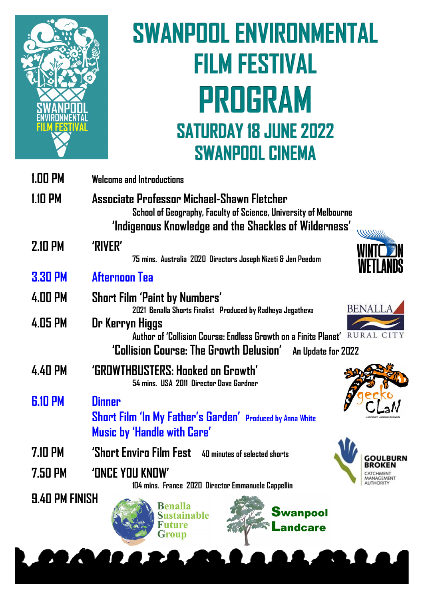

# **SWANPOOL ENVIRONMENTAL FILM FESTIVAL** PROGRAM **SATURDAY 18 JUNE 2022 SWANPOOL CINEMA**

| <b>1.00 PM</b>        | <b>Welcome and Introductions</b>                                                                                                                                        |
|-----------------------|-------------------------------------------------------------------------------------------------------------------------------------------------------------------------|
| 1.10 PM               | Associate Professor Michael-Shawn Fletcher<br>School of Geography, Faculty of Science, University of Melbourne<br>'Indigenous Knowledge and the Shackles of Wilderness' |
| <b>2.10 PM</b>        | 'RIVER'<br>75 mins. Australia 2020 Directors Joseph Nizeti & Jen Peedom                                                                                                 |
| <b>3.30 PM</b>        | Afternoon Tea                                                                                                                                                           |
| 4.00 PM               | <b>Short Film 'Paint by Numbers'</b><br>BENALL<br>2021 Benalla Shorts Finalist Produced by Radheya Jegatheva                                                            |
| 4.05 PM               | Dr Kerryn Higgs<br>RURAL CITY<br>Author of 'Collision Course: Endless Growth on a Finite Planet'<br>'Collision Course: The Growth Delusion'<br>An Update for 2022       |
| 4.40 PM               | 'GROWTHBUSTERS: Hooked on Growth'<br>54 mins. USA 2011 Director Dave Gardner                                                                                            |
| <b>G.10 PM</b>        | <b>Dinner</b><br>Short Film 'In My Father's Garden' Produced by Anna White<br>Music by 'Handle with Care'                                                               |
| 7.10 PM               | 'Short Enviro Film Fest<br>40 minutes of selected shorts                                                                                                                |
| 7.50 PM               | 'ONCE YOU KNOW'<br>104 mins. France 2020 Director Emmanuele Cappellin                                                                                                   |
| <b>9.40 PM FINISH</b> | <b>Benalla</b><br><b>Swanpool</b><br><b>Sustainable</b><br><b>Future</b><br>Landcare<br><b>Group</b>                                                                    |